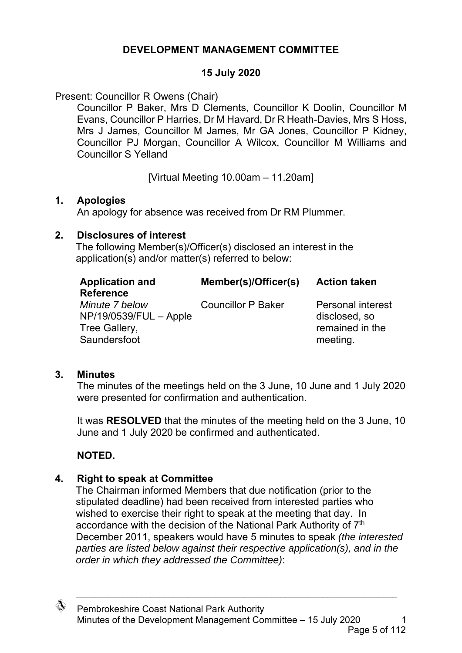## **DEVELOPMENT MANAGEMENT COMMITTEE**

#### **15 July 2020**

Present: Councillor R Owens (Chair)

Councillor P Baker, Mrs D Clements, Councillor K Doolin, Councillor M Evans, Councillor P Harries, Dr M Havard, Dr R Heath-Davies, Mrs S Hoss, Mrs J James, Councillor M James, Mr GA Jones, Councillor P Kidney, Councillor PJ Morgan, Councillor A Wilcox, Councillor M Williams and Councillor S Yelland

[Virtual Meeting 10.00am – 11.20am]

#### **1. Apologies**

An apology for absence was received from Dr RM Plummer.

#### **2. Disclosures of interest**

The following Member(s)/Officer(s) disclosed an interest in the application(s) and/or matter(s) referred to below:

| <b>Application and</b><br><b>Reference</b>                                | Member(s)/Officer(s)      | <b>Action taken</b>                                                      |
|---------------------------------------------------------------------------|---------------------------|--------------------------------------------------------------------------|
| Minute 7 below<br>NP/19/0539/FUL - Apple<br>Tree Gallery,<br>Saundersfoot | <b>Councillor P Baker</b> | <b>Personal interest</b><br>disclosed, so<br>remained in the<br>meeting. |

## **3. Minutes**

The minutes of the meetings held on the 3 June, 10 June and 1 July 2020 were presented for confirmation and authentication.

It was **RESOLVED** that the minutes of the meeting held on the 3 June, 10 June and 1 July 2020 be confirmed and authenticated.

# **NOTED.**

## **4. Right to speak at Committee**

The Chairman informed Members that due notification (prior to the stipulated deadline) had been received from interested parties who wished to exercise their right to speak at the meeting that day. In accordance with the decision of the National Park Authority of 7<sup>th</sup> December 2011, speakers would have 5 minutes to speak *(the interested parties are listed below against their respective application(s), and in the order in which they addressed the Committee)*:

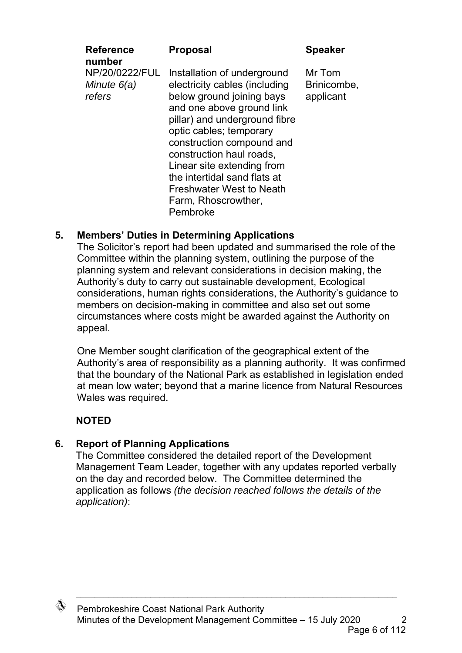| <b>Reference</b>                          | <b>Proposal</b>                                                                                                                                                                                                                                                                                                                                                                 | <b>Speaker</b>                     |
|-------------------------------------------|---------------------------------------------------------------------------------------------------------------------------------------------------------------------------------------------------------------------------------------------------------------------------------------------------------------------------------------------------------------------------------|------------------------------------|
| number                                    |                                                                                                                                                                                                                                                                                                                                                                                 |                                    |
| NP/20/0222/FUL<br>Minute $6(a)$<br>refers | Installation of underground<br>electricity cables (including<br>below ground joining bays<br>and one above ground link<br>pillar) and underground fibre<br>optic cables; temporary<br>construction compound and<br>construction haul roads,<br>Linear site extending from<br>the intertidal sand flats at<br><b>Freshwater West to Neath</b><br>Farm, Rhoscrowther,<br>Pembroke | Mr Tom<br>Brinicombe,<br>applicant |
|                                           |                                                                                                                                                                                                                                                                                                                                                                                 |                                    |

## **5. Members' Duties in Determining Applications**

 The Solicitor's report had been updated and summarised the role of the Committee within the planning system, outlining the purpose of the planning system and relevant considerations in decision making, the Authority's duty to carry out sustainable development, Ecological considerations, human rights considerations, the Authority's guidance to members on decision-making in committee and also set out some circumstances where costs might be awarded against the Authority on appeal.

One Member sought clarification of the geographical extent of the Authority's area of responsibility as a planning authority. It was confirmed that the boundary of the National Park as established in legislation ended at mean low water; beyond that a marine licence from Natural Resources Wales was required.

## **NOTED**

## **6. Report of Planning Applications**

The Committee considered the detailed report of the Development Management Team Leader, together with any updates reported verbally on the day and recorded below. The Committee determined the application as follows *(the decision reached follows the details of the application)*:

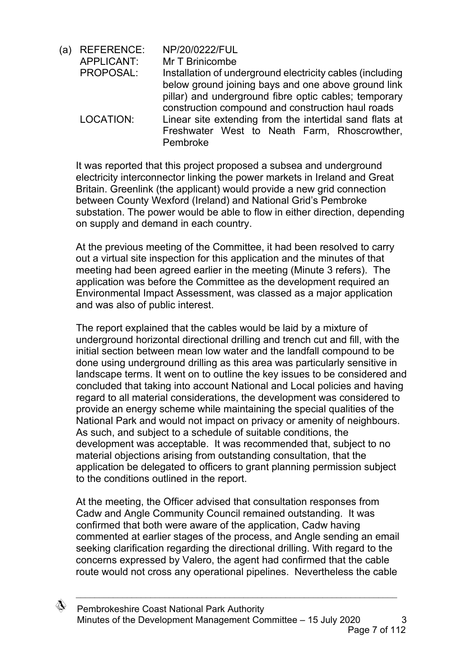(a) REFERENCE: NP/20/0222/FUL APPLICANT: Mr T Brinicombe PROPOSAL: Installation of underground electricity cables (including below ground joining bays and one above ground link pillar) and underground fibre optic cables; temporary construction compound and construction haul roads LOCATION: Linear site extending from the intertidal sand flats at Freshwater West to Neath Farm, Rhoscrowther, Pembroke

It was reported that this project proposed a subsea and underground electricity interconnector linking the power markets in Ireland and Great Britain. Greenlink (the applicant) would provide a new grid connection between County Wexford (Ireland) and National Grid's Pembroke substation. The power would be able to flow in either direction, depending on supply and demand in each country.

At the previous meeting of the Committee, it had been resolved to carry out a virtual site inspection for this application and the minutes of that meeting had been agreed earlier in the meeting (Minute 3 refers). The application was before the Committee as the development required an Environmental Impact Assessment, was classed as a major application and was also of public interest.

The report explained that the cables would be laid by a mixture of underground horizontal directional drilling and trench cut and fill, with the initial section between mean low water and the landfall compound to be done using underground drilling as this area was particularly sensitive in landscape terms. It went on to outline the key issues to be considered and concluded that taking into account National and Local policies and having regard to all material considerations, the development was considered to provide an energy scheme while maintaining the special qualities of the National Park and would not impact on privacy or amenity of neighbours. As such, and subject to a schedule of suitable conditions, the development was acceptable. It was recommended that, subject to no material objections arising from outstanding consultation, that the application be delegated to officers to grant planning permission subject to the conditions outlined in the report.

At the meeting, the Officer advised that consultation responses from Cadw and Angle Community Council remained outstanding. It was confirmed that both were aware of the application, Cadw having commented at earlier stages of the process, and Angle sending an email seeking clarification regarding the directional drilling. With regard to the concerns expressed by Valero, the agent had confirmed that the cable route would not cross any operational pipelines. Nevertheless the cable

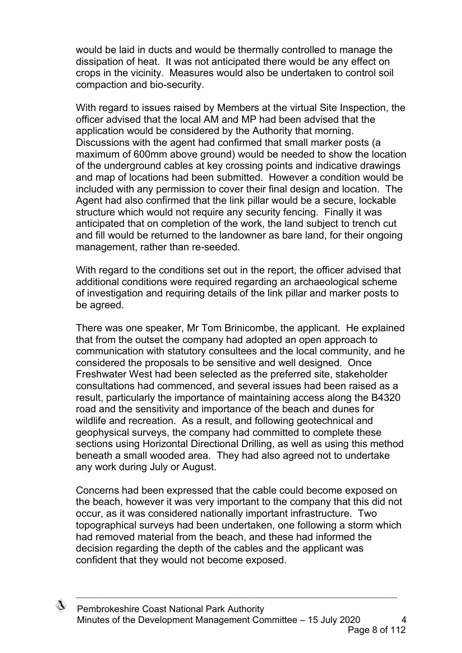would be laid in ducts and would be thermally controlled to manage the dissipation of heat. It was not anticipated there would be any effect on crops in the vicinity. Measures would also be undertaken to control soil compaction and bio-security.

With regard to issues raised by Members at the virtual Site Inspection, the officer advised that the local AM and MP had been advised that the application would be considered by the Authority that morning. Discussions with the agent had confirmed that small marker posts (a maximum of 600mm above ground) would be needed to show the location of the underground cables at key crossing points and indicative drawings and map of locations had been submitted. However a condition would be included with any permission to cover their final design and location. The Agent had also confirmed that the link pillar would be a secure, lockable structure which would not require any security fencing. Finally it was anticipated that on completion of the work, the land subject to trench cut and fill would be returned to the landowner as bare land, for their ongoing management, rather than re-seeded.

With regard to the conditions set out in the report, the officer advised that additional conditions were required regarding an archaeological scheme of investigation and requiring details of the link pillar and marker posts to be agreed.

There was one speaker, Mr Tom Brinicombe, the applicant. He explained that from the outset the company had adopted an open approach to communication with statutory consultees and the local community, and he considered the proposals to be sensitive and well designed. Once Freshwater West had been selected as the preferred site, stakeholder consultations had commenced, and several issues had been raised as a result, particularly the importance of maintaining access along the B4320 road and the sensitivity and importance of the beach and dunes for wildlife and recreation. As a result, and following geotechnical and geophysical surveys, the company had committed to complete these sections using Horizontal Directional Drilling, as well as using this method beneath a small wooded area. They had also agreed not to undertake any work during July or August.

Concerns had been expressed that the cable could become exposed on the beach, however it was very important to the company that this did not occur, as it was considered nationally important infrastructure. Two topographical surveys had been undertaken, one following a storm which had removed material from the beach, and these had informed the decision regarding the depth of the cables and the applicant was confident that they would not become exposed.

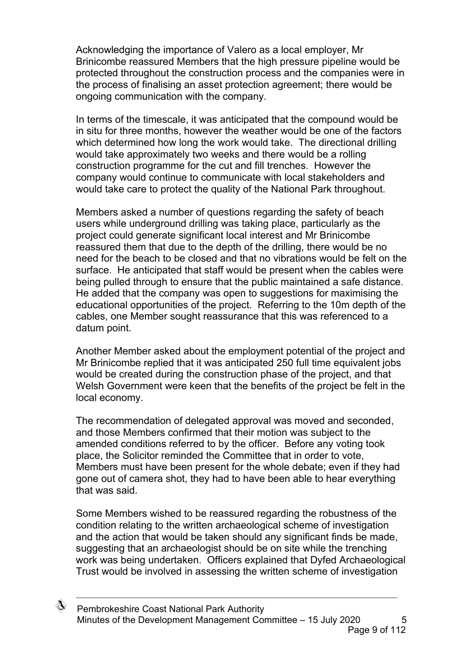Acknowledging the importance of Valero as a local employer, Mr Brinicombe reassured Members that the high pressure pipeline would be protected throughout the construction process and the companies were in the process of finalising an asset protection agreement; there would be ongoing communication with the company.

In terms of the timescale, it was anticipated that the compound would be in situ for three months, however the weather would be one of the factors which determined how long the work would take. The directional drilling would take approximately two weeks and there would be a rolling construction programme for the cut and fill trenches. However the company would continue to communicate with local stakeholders and would take care to protect the quality of the National Park throughout.

Members asked a number of questions regarding the safety of beach users while underground drilling was taking place, particularly as the project could generate significant local interest and Mr Brinicombe reassured them that due to the depth of the drilling, there would be no need for the beach to be closed and that no vibrations would be felt on the surface. He anticipated that staff would be present when the cables were being pulled through to ensure that the public maintained a safe distance. He added that the company was open to suggestions for maximising the educational opportunities of the project. Referring to the 10m depth of the cables, one Member sought reassurance that this was referenced to a datum point.

Another Member asked about the employment potential of the project and Mr Brinicombe replied that it was anticipated 250 full time equivalent jobs would be created during the construction phase of the project, and that Welsh Government were keen that the benefits of the project be felt in the local economy.

The recommendation of delegated approval was moved and seconded, and those Members confirmed that their motion was subject to the amended conditions referred to by the officer. Before any voting took place, the Solicitor reminded the Committee that in order to vote, Members must have been present for the whole debate; even if they had gone out of camera shot, they had to have been able to hear everything that was said.

Some Members wished to be reassured regarding the robustness of the condition relating to the written archaeological scheme of investigation and the action that would be taken should any significant finds be made, suggesting that an archaeologist should be on site while the trenching work was being undertaken. Officers explained that Dyfed Archaeological Trust would be involved in assessing the written scheme of investigation